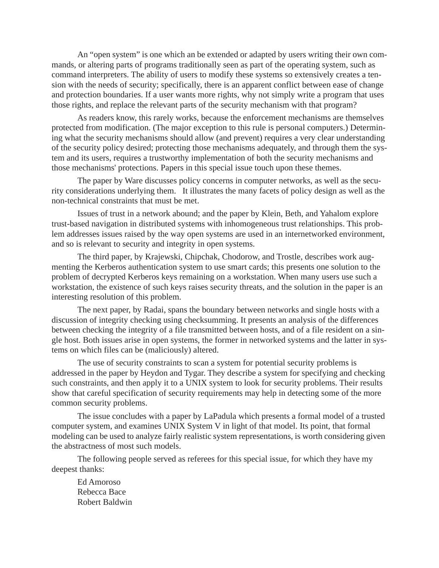An "open system" is one which an be extended or adapted by users writing their own commands, or altering parts of programs traditionally seen as part of the operating system, such as command interpreters. The ability of users to modify these systems so extensively creates a tension with the needs of security; specifically, there is an apparent conflict between ease of change and protection boundaries. If a user wants more rights, why not simply write a program that uses those rights, and replace the relevant parts of the security mechanism with that program?

As readers know, this rarely works, because the enforcement mechanisms are themselves protected from modification. (The major exception to this rule is personal computers.) Determining what the security mechanisms should allow (and prevent) requires a very clear understanding of the security policy desired; protecting those mechanisms adequately, and through them the system and its users, requires a trustworthy implementation of both the security mechanisms and those mechanisms' protections. Papers in this special issue touch upon these themes.

The paper by Ware discusses policy concerns in computer networks, as well as the security considerations underlying them. It illustrates the many facets of policy design as well as the non-technical constraints that must be met.

Issues of trust in a network abound; and the paper by Klein, Beth, and Yahalom explore trust-based navigation in distributed systems with inhomogeneous trust relationships. This problem addresses issues raised by the way open systems are used in an internetworked environment, and so is relevant to security and integrity in open systems.

The third paper, by Krajewski, Chipchak, Chodorow, and Trostle, describes work augmenting the Kerberos authentication system to use smart cards; this presents one solution to the problem of decrypted Kerberos keys remaining on a workstation. When many users use such a workstation, the existence of such keys raises security threats, and the solution in the paper is an interesting resolution of this problem.

The next paper, by Radai, spans the boundary between networks and single hosts with a discussion of integrity checking using checksumming. It presents an analysis of the differences between checking the integrity of a file transmitted between hosts, and of a file resident on a single host. Both issues arise in open systems, the former in networked systems and the latter in systems on which files can be (maliciously) altered.

The use of security constraints to scan a system for potential security problems is addressed in the paper by Heydon and Tygar. They describe a system for specifying and checking such constraints, and then apply it to a UNIX system to look for security problems. Their results show that careful specification of security requirements may help in detecting some of the more common security problems.

The issue concludes with a paper by LaPadula which presents a formal model of a trusted computer system, and examines UNIX System V in light of that model. Its point, that formal modeling can be used to analyze fairly realistic system representations, is worth considering given the abstractness of most such models.

The following people served as referees for this special issue, for which they have my deepest thanks:

Ed Amoroso Rebecca Bace Robert Baldwin